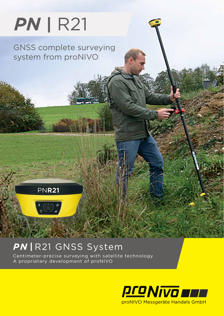# *PN |* R21

GNSS complete surveying system from proNIVO

### **PNR21**



### PN | R21 GNSS System

Centimeter-precise surveying with satellite technology A proprietary development of proNIVO

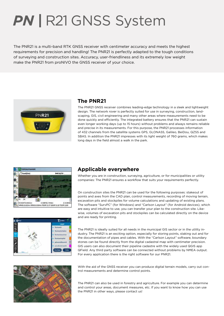## *PN |* R21 GNSS System

The PNR21 is a multi-band RTK GNSS receiver with centimeter accuracy and meets the highest requirements for precision and handling! The PNR21 is perfectly adapted to the tough conditions of surveying and construction sites. Accuracy, user-friendliness and its extremely low weight make the PNR21 from proNIVO the GNSS receiver of your choice.



#### **The PNR21**

The PNR21 GNSS receiver combines leading-edge technology in a sleek and lightweight design. The network rover is perfectly suited for use in surveying, construction, landscaping, GIS, civil engineering and many other areas where measurements need to be done quickly and efficiently. The integrated battery ensures that the PNR21 can sustain even longer working days (up to 15 hours) without problems and always remains reliable and precise in its measurements. For this purpose, the PNR21 processes information of 432 channels from the satellite systems GPS, GLONASS, Galileo, BeiDou, QZSS and SBAS. In addition the PNR21 impresses with its light weight of 760 grams, which makes long days in the field almost a walk in the park.





#### **Applicable everywhere**

Whether you are in construction, surveying, agriculture, or for municipalities or utility companies: The PNR21 ensures a workflow that suits your requirements perfectly.

On construction sites the PNR21 can be used for the following purposes: stakeout of points and axes from the CAD plan, control measurements, recording of moving terrain, excavation pits and stockpiles for volume calculations and updating of existing plans. The software "SurvPC" (for Windows) and "Carlson Layout" (for Android devices), which are easy and intuitive to use, you can transfer your plan to the construction site. Likewise, volumes of excavation pits and stockpiles can be calculated directly on the device and are ready for printing.

The PNR21 is ideally suited for all needs in the municipal GIS sector or in the utility industry. The PNR21 is an exciting option, especially for storing points, staking out and for the documentation of pipes and cables. With the "Carlson Layout" software, boundary stones can be found directly from the digital cadastral map with centimeter precision. GIS users can also document their pipeline cadastre with the widely used QGIS app QField. Any third party software can be connected without problems by NMEA output. For every application there is the right software for our PNR21.



With the aid of the GNSS receiver you can produce digital terrain models, carry out control measurements and determine control points.

The PNR21 can also be used in forestry and agriculture. For example you can determine and control your areas, document measures, etc. If you want to know how you can use the PNR21 in other ways, please contact us!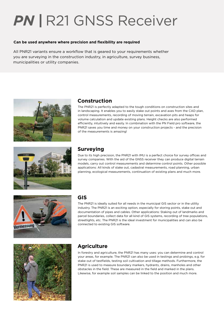## **PN | R21 GNSS Receiver**

#### **Can be used anywhere where precision and flexibility are required**

All PNR21 variants ensure a workflow that is geared to your requirements whether you are surveying in the construction industry, in agriculture, survey business, municipalities or utility companies.



#### **Construction**

The PNR21 is perfectly adapted to the tough conditions on construction sites and in landscaping. It enables you to easily stake out points and axes from the CAD plan, control measurements, recording of moving terrain, excavation pits and heaps for volume calculation and update existing plans. Height checks are also performed efficiently, intuitively and easily. In combination with the PN Field pro software, the PNR21 saves you time and money on your construction projects - and the precision of the measurements is amazing!



#### **Surveying**

Due to its high precision, the PNR21 with IMU is a perfect choice for survey offices and survey companies. With the aid of the GNSS receiver they can produce digital terrain models, carry out control measurements and determine control points. Other possible applications: All kinds of stake out, cadastral measurements, road planning, urban planning, ecological measurements, continuation of existing plans and much more.



#### **GIS**

The PNR21 is ideally suited for all needs in the municipal GIS sector or in the utility industry. The PNR21 is an exciting option, especially for storing points, stake out and documentation of pipes and cables. Other applications: Staking out of landmarks and parcel boundaries, collect data for all kind of GIS systems, recording of tree populations, streetlights, etc. The PNR21 is the ideal investment for municipalities and can also be connected to existing GIS software.



#### **Agriculture**

In forestry and agriculture, the PNR21 has many uses: you can determine and control your areas, for example. The PNR21 can also be used in testings and probings, e.g. for stake out of testfields, testing soil cultivation and tillage methods. Furthermore, the PNR21 is used to measure boundary markers, hydrants, drains, manholes and other obstacles in the field. These are measured in the field and marked in the plans. Likewise, for example soil samples can be linked to the position and much more.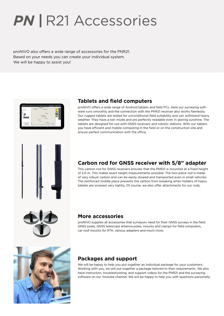### **PN | R21 Accessories**

proNIVO also offers a wide range of accessories for the PNR21. Based on your needs you can create your individual system. We will be happy to assist you!



#### **Tablets and field computers**

proNIVO offers a wide range of Android tablets and field PCs. Here our surveying software runs smoothly and the connection with the PNR21 receiver also works flawlessly. Our rugged tablets are tested for unconditional field suitability and can withstand heavy weather. They have a rain mode and are perfectly readable even in glaring sunshine. The tablets are designed for use with GNSS receivers and robotic stations. With our tablets you have efficient and mobile computing in the field or on the construction site and ensure perfect communication with the office.



#### **Carbon rod for GNSS receiver with 5/8" adapter**

This carbon rod for GNSS receivers ensures that the PNR21 is mounted at a fixed height of 2.0 m. This makes exact height measurements possible. The two-piece rod is made of very robust carbon and can be easily stowed and transported even in small vehicles. The reinforced middle piece prevents the carbon from breaking when holders of heavy tablets are screwed very tightly. Of course, we also offer attachments for our rods.



#### **More accessories**

proNIVO supplies all accessories that surveyors need for their GNSS surveys in the field: GNSS poles, GNSS telescope antenna poles, mounts and clamps for field computers, car roof mounts for RTK, various adapters and much more.



#### **Packages and support**

We will be happy to help you put together an individual package for your customers. Working with you, we will put together a package tailored to their requirements. We also have instruction, troubleshooting, and support videos for the PNR21 and the surveying software on our Youtube channel. We will be happy to help you with questions personally.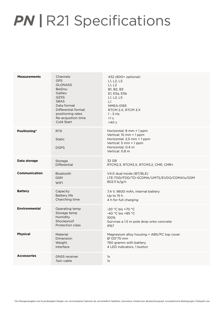### **PN | R21 Specifications**

| <b>Measurements</b>  | Channels<br><b>GPS</b><br><b>GLONASS</b><br><b>BeiDou</b><br>Galileo<br><b>QZSS</b><br><b>SBAS</b><br>Data format<br>Differential format<br>positioning rates<br>Re-acqusition time<br>Cold Start | 432 (800+ optional)<br>L1, L2, L5<br>L1, L2<br>B1, B2, B3<br>E1, E5a, E5b<br>L1, L2, L5<br>L1<br><b>NMEA-0183</b><br>RTCM 2.X, RTCM 3.X<br>$1 - 5$ Hz<br><1 s<br>$<$ 40 $s$ |
|----------------------|---------------------------------------------------------------------------------------------------------------------------------------------------------------------------------------------------|-----------------------------------------------------------------------------------------------------------------------------------------------------------------------------|
| Positioning*         | <b>RTK</b><br><b>Static</b><br><b>DGPS</b>                                                                                                                                                        | Horizontal: 8 mm + 1 ppm<br>Vertical: 15 mm + 1 ppm<br>Horizontal: 2,5 mm + 1 ppm<br>Vertical: 5 mm + 1 ppm<br>Horizontal: 0.4 m<br>Vertical: 0.8 m                         |
| Data storage         | Storage<br>Differential                                                                                                                                                                           | 32 GB<br>RTCM2.3, RTCM3.X, RTCM3.2, CMR, CMR+                                                                                                                               |
| Communication        | Bluetooth<br><b>GSM</b><br><b>WIFI</b>                                                                                                                                                            | V4.0 dual mode (BT/BLE)<br>LTE-TDD/FDD/TD-SCDMA/UMTS/EVDO/CDMA1x/GSM<br>802.11 b/g/n                                                                                        |
| <b>Battery</b>       | Capacity<br><b>Battery life</b><br>Charching time                                                                                                                                                 | 7,4 V, 9600 mAh, internal battery<br>Up to $15h$<br>4 h for full charging                                                                                                   |
| <b>Environmental</b> | Operating temp<br>Storage temp<br>Humidity<br>Shockproof<br>Protection class                                                                                                                      | $-20 °C$ bis $+70 °C$<br>-40 °C bis +85 °C<br>100%<br>Survives a 1.5 m pole drop onto concrete<br><b>IP67</b>                                                               |
| <b>Physical</b>      | Material<br>Dimension<br>Weight<br>Interface                                                                                                                                                      | Magnesium alloy housing + ABS/PC top cover<br>Ø 133*75 mm<br>760 gramm with battery<br>4 LED indicators, 1 button                                                           |
| <b>Accessories</b>   | <b>GNSS</b> receiver<br>7pin cable                                                                                                                                                                | 1x<br>1x                                                                                                                                                                    |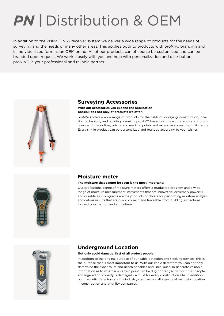### *PN |* Distribution & OEM

In addition to the PNR21 GNSS receiver system we deliver a wide range of products for the needs of surveying and the needs of many other areas. This applies both to products with proNivo branding and in individualized form as an OEM brand. All of our products can of course be customized and can be branded upon request. We work closely with you and help with personalization and distribution. proNIVO is your professional and reliable partner!



#### **Surveying Accessories**

#### **With our accessories you expand the application possibilities not only of products we offer!**

proNIVO offers a wide range of products for the fields of surveying, construction, location technology and building planning: proNIVO has robust measuring rods and tripods, levels and theodolites, prisms and marking points and extensive accessories in its range. Every single product can be personalized and branded according to your wishes.



#### **Moisture meter**

#### **The moisture that cannot be seen is the most important!**

Our professional range of moisture meters offers a graduated program and a wide range of moisture measurement instruments that are innovative, extremely powerful and durable. Our programs are the products of choice for performing moisture analysis and deliver results that are quick, correct, and traceable, from building inspections to road construction and agriculture.



#### **Underground Location**

#### **Not only avoid damage, first of all protect people!**

In addition to the original purpose of our cable detection and tracking devices, this is the purpose that is most important to us. With our cable detectors you can not only determine the exact route and depth of cables and lines, but also generate valuable information as to whether a certain point can be dug or dredged without that people endangered or property is damaged - a must for every construction site. In addition, our magnetic detectors are the industry standard for all aspects of magnetic location in construction and at utility companies.